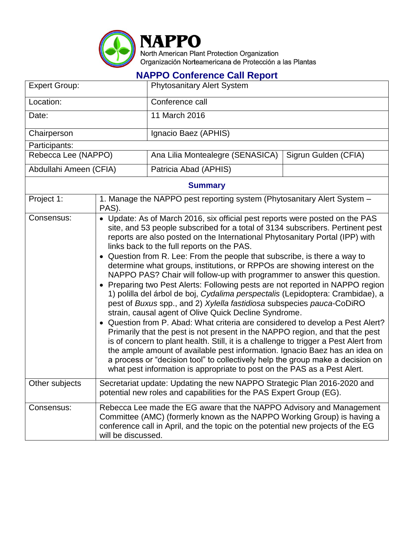

## **NAPPO Conference Call Report**

| <b>Expert Group:</b>   |                                                                                                                                                                                                                                                                                                                                                                                                                                                                                                                                                                                                                                                                                                                                                                                                                                                                                                                                                                                                                                                                                                                                                                                                                                                                                                                                                            | <b>Phytosanitary Alert System</b> |                      |  |
|------------------------|------------------------------------------------------------------------------------------------------------------------------------------------------------------------------------------------------------------------------------------------------------------------------------------------------------------------------------------------------------------------------------------------------------------------------------------------------------------------------------------------------------------------------------------------------------------------------------------------------------------------------------------------------------------------------------------------------------------------------------------------------------------------------------------------------------------------------------------------------------------------------------------------------------------------------------------------------------------------------------------------------------------------------------------------------------------------------------------------------------------------------------------------------------------------------------------------------------------------------------------------------------------------------------------------------------------------------------------------------------|-----------------------------------|----------------------|--|
| Location:              |                                                                                                                                                                                                                                                                                                                                                                                                                                                                                                                                                                                                                                                                                                                                                                                                                                                                                                                                                                                                                                                                                                                                                                                                                                                                                                                                                            | Conference call                   |                      |  |
| Date:                  |                                                                                                                                                                                                                                                                                                                                                                                                                                                                                                                                                                                                                                                                                                                                                                                                                                                                                                                                                                                                                                                                                                                                                                                                                                                                                                                                                            | 11 March 2016                     |                      |  |
| Chairperson            |                                                                                                                                                                                                                                                                                                                                                                                                                                                                                                                                                                                                                                                                                                                                                                                                                                                                                                                                                                                                                                                                                                                                                                                                                                                                                                                                                            | Ignacio Baez (APHIS)              |                      |  |
| Participants:          |                                                                                                                                                                                                                                                                                                                                                                                                                                                                                                                                                                                                                                                                                                                                                                                                                                                                                                                                                                                                                                                                                                                                                                                                                                                                                                                                                            |                                   |                      |  |
| Rebecca Lee (NAPPO)    |                                                                                                                                                                                                                                                                                                                                                                                                                                                                                                                                                                                                                                                                                                                                                                                                                                                                                                                                                                                                                                                                                                                                                                                                                                                                                                                                                            | Ana Lilia Montealegre (SENASICA)  | Sigrun Gulden (CFIA) |  |
| Abdullahi Ameen (CFIA) |                                                                                                                                                                                                                                                                                                                                                                                                                                                                                                                                                                                                                                                                                                                                                                                                                                                                                                                                                                                                                                                                                                                                                                                                                                                                                                                                                            | Patricia Abad (APHIS)             |                      |  |
| <b>Summary</b>         |                                                                                                                                                                                                                                                                                                                                                                                                                                                                                                                                                                                                                                                                                                                                                                                                                                                                                                                                                                                                                                                                                                                                                                                                                                                                                                                                                            |                                   |                      |  |
| Project 1:             | 1. Manage the NAPPO pest reporting system (Phytosanitary Alert System -<br>PAS).                                                                                                                                                                                                                                                                                                                                                                                                                                                                                                                                                                                                                                                                                                                                                                                                                                                                                                                                                                                                                                                                                                                                                                                                                                                                           |                                   |                      |  |
| Consensus:             | • Update: As of March 2016, six official pest reports were posted on the PAS<br>site, and 53 people subscribed for a total of 3134 subscribers. Pertinent pest<br>reports are also posted on the International Phytosanitary Portal (IPP) with<br>links back to the full reports on the PAS.<br>• Question from R. Lee: From the people that subscribe, is there a way to<br>determine what groups, institutions, or RPPOs are showing interest on the<br>NAPPO PAS? Chair will follow-up with programmer to answer this question.<br>• Preparing two Pest Alerts: Following pests are not reported in NAPPO region<br>1) polilla del árbol de boj, Cydalima perspectalis (Lepidoptera: Crambidae), a<br>pest of Buxus spp., and 2) Xylella fastidiosa subspecies pauca-CoDiRO<br>strain, causal agent of Olive Quick Decline Syndrome.<br>Question from P. Abad: What criteria are considered to develop a Pest Alert?<br>$\bullet$<br>Primarily that the pest is not present in the NAPPO region, and that the pest<br>is of concern to plant health. Still, it is a challenge to trigger a Pest Alert from<br>the ample amount of available pest information. Ignacio Baez has an idea on<br>a process or "decision tool" to collectively help the group make a decision on<br>what pest information is appropriate to post on the PAS as a Pest Alert. |                                   |                      |  |
| Other subjects         | Secretariat update: Updating the new NAPPO Strategic Plan 2016-2020 and<br>potential new roles and capabilities for the PAS Expert Group (EG).                                                                                                                                                                                                                                                                                                                                                                                                                                                                                                                                                                                                                                                                                                                                                                                                                                                                                                                                                                                                                                                                                                                                                                                                             |                                   |                      |  |
| Consensus:             | Rebecca Lee made the EG aware that the NAPPO Advisory and Management<br>Committee (AMC) (formerly known as the NAPPO Working Group) is having a<br>conference call in April, and the topic on the potential new projects of the EG<br>will be discussed.                                                                                                                                                                                                                                                                                                                                                                                                                                                                                                                                                                                                                                                                                                                                                                                                                                                                                                                                                                                                                                                                                                   |                                   |                      |  |